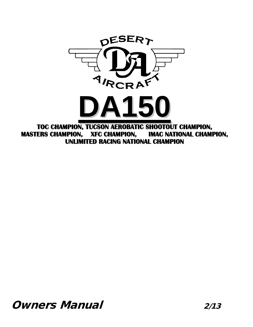

**MASTERS CHAMPION, XFC CHAMPION, IMAC NATIONAL CHAMPION, UNLIMITED RACING NATIONAL CHAMPION**

**Owners Manual 2/13**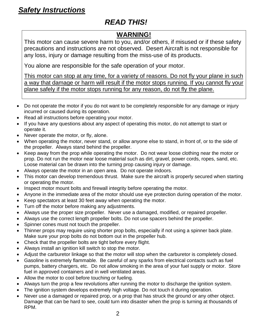### *READ THIS!*

### **WARNING!**

This motor can cause severe harm to you, and/or others, if misused or if these safety precautions and instructions are not observed. Desert Aircraft is not responsible for any loss, injury or damage resulting from the miss-use of its products.

You alone are responsible for the safe operation of your motor.

This motor can stop at any time, for a variety of reasons. Do not fly your plane in such a way that damage or harm will result if the motor stops running. If you cannot fly your plane safely if the motor stops running for any reason, do not fly the plane.

- Do not operate the motor if you do not want to be completely responsible for any damage or injury incurred or caused during its operation.
- Read all instructions before operating your motor.
- If you have any questions about any aspect of operating this motor, do not attempt to start or operate it.
- Never operate the motor, or fly, alone.
- When operating the motor, never stand, or allow anyone else to stand, in front of, or to the side of the propeller. Always stand behind the propeller.
- Keep away from the prop while operating the motor. Do not wear loose clothing near the motor or prop. Do not run the motor near loose material such as dirt, gravel, power cords, ropes, sand, etc. Loose material can be drawn into the turning prop causing injury or damage.
- Always operate the motor in an open area. Do not operate indoors.
- This motor can develop tremendous thrust. Make sure the aircraft is properly secured when starting or operating the motor.
- Inspect motor mount bolts and firewall integrity before operating the motor.
- Anyone in the immediate area of the motor should use eye protection during operation of the motor.
- Keep spectators at least 30 feet away when operating the motor.
- Turn off the motor before making any adjustments.
- Always use the proper size propeller. Never use a damaged, modified, or repaired propeller.
- Always use the correct length propeller bolts. Do not use spacers behind the propeller.
- Spinner cones must not touch the propeller.
- Thinner props may require using shorter prop bolts, especially if not using a spinner back plate. Make sure your prop bolts do not bottom out in the propeller hub.
- Check that the propeller bolts are tight before every flight.
- Always install an ignition kill switch to stop the motor.
- Adjust the carburetor linkage so that the motor will stop when the carburetor is completely closed.
- Gasoline is extremely flammable. Be careful of any sparks from electrical contacts such as fuel pumps, battery chargers, etc. Do not allow smoking in the area of your fuel supply or motor. Store fuel in approved containers and in well ventilated areas.
- Allow the motor to cool before touching or fueling.
- Always turn the prop a few revolutions after running the motor to discharge the ignition system.
- The ignition system develops extremely high voltage. Do not touch it during operation.
- Never use a damaged or repaired prop, or a prop that has struck the ground or any other object. Damage that can be hard to see, could turn into disaster when the prop is turning at thousands of RPM.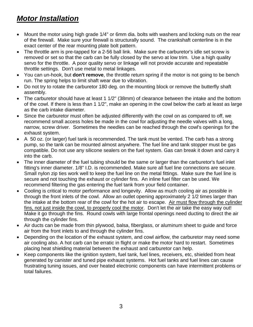# *Motor Installation*

- Mount the motor using high grade 1/4" or 6mm dia. bolts with washers and locking nuts on the rear of the firewall. Make sure your firewall is structurally sound. The crankshaft centerline is in the exact center of the rear mounting plate bolt pattern.
- The throttle arm is pre-tapped for a 2-56 ball link. Make sure the carburetor's idle set screw is removed or set so that the carb can be fully closed by the servo at low trim. Use a high quality servo for the throttle. A poor quality servo or linkage will not provide accurate and repeatable throttle settings. Don't use metal to metal linkages.
- You can un-hook, but **don't remove**, the throttle return spring if the motor is not going to be bench run. The spring helps to limit shaft wear due to vibration.
- Do not try to rotate the carburetor 180 deg. on the mounting block or remove the butterfly shaft assembly.
- The carburetor should have at least 1 1/2" (38mm) of clearance between the intake and the bottom of the cowl. If there is less than 1 1/2", make an opening in the cowl below the carb at least as large as the carb intake diameter.
- Since the carburetor must often be adjusted differently with the cowl on as compared to off, we recommend small access holes be made in the cowl for adjusting the needle valves with a long, narrow, screw driver. Sometimes the needles can be reached through the cowl's openings for the exhaust system.
- A 50 oz. (or larger) fuel tank is recommended. The tank must be vented. The carb has a strong pump, so the tank can be mounted almost anywhere. The fuel line and tank stopper must be gas compatible. Do not use any silicone sealers on the fuel system. Gas can break it down and carry it into the carb.
- The inner diameter of the fuel tubing should be the same or larger than the carburetor's fuel inlet fitting's inner diameter. 1/8" I.D. is recommended. Make sure all fuel line connections are secure. Small nylon zip ties work well to keep the fuel line on the metal fittings. Make sure the fuel line is secure and not touching the exhaust or cylinder fins. An inline fuel filter can be used. We recommend filtering the gas entering the fuel tank from your field container.
- Cooling is critical to motor performance and longevity. Allow as much cooling air as possible in through the front inlets of the cowl. Allow an outlet opening approximately 2 1/2 times larger than the intake at the bottom rear of the cowl for the hot air to escape. Air must flow through the cylinder fins, not just inside the cowl, to properly cool the motor. Don't let the air take the easy way out! Make it go through the fins. Round cowls with large frontal openings need ducting to direct the air through the cylinder fins.
- Air ducts can be made from thin plywood, balsa, fiberglass, or aluminum sheet to guide and force air from the front inlets to and through the cylinder fins.
- Depending on the location of the exhaust system, and cowl airflow, the carburetor may need some air cooling also. A hot carb can be erratic in flight or make the motor hard to restart. Sometimes placing heat shielding material between the exhaust and carburetor can help.
- Keep components like the ignition system, fuel tank, fuel lines, receivers, etc, shielded from heat generated by canister and tuned pipe exhaust systems. Hot fuel tanks and fuel lines can cause frustrating tuning issues, and over heated electronic components can have intermittent problems or total failures.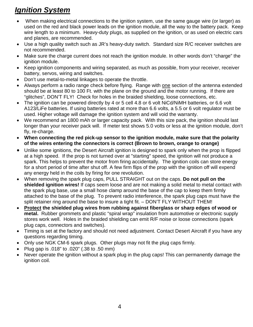# *Ignition System*

- When making electrical connections to the ignition system, use the same gauge wire (or larger) as used on the red and black power leads on the ignition module, all the way to the battery pack. Keep wire length to a minimum. Heavy-duty plugs, as supplied on the ignition, or as used on electric cars and planes, are recommended.
- Use a high quality switch such as JR's heavy-duty switch. Standard size R/C receiver switches are not recommended.
- Make sure the charge current does not reach the ignition module. In other words don't "charge" the ignition module.
- Keep ignition components and wiring separated, as much as possible, from your receiver, receiver battery, servos, wiring and switches.
- Don't use metal-to-metal linkages to operate the throttle.
- Always perform a radio range check before flying. Range with one section of the antenna extended should be at least 80 to 100 Ft. with the plane on the ground and the motor running. If there are "glitches", DON'T FLY! Check for holes in the braided shielding, loose connections, etc.
- The ignition can be powered directly by 4 or 5 cell 4.8 or 6 volt NiCd/NiMH batteries, or 6.6 volt A123/LiFe batteries. If using batteries rated at more than 6.6 volts, a 5.5 or 6 volt regulator must be used. Higher voltage will damage the ignition system and will void the warranty.
- We recommend an 1800 mAh or larger capacity pack. With this size pack, the ignition should last longer than your receiver pack will. If meter test shows 5.0 volts or less at the ignition module, don't fly, re-charge.
- **When connecting the red pick-up sensor to the ignition module, make sure that the polarity of the wires entering the connectors is correct (Brown to brown, orange to orange)**
- Unlike some ignitions, the Desert Aircraft ignition is designed to spark only when the prop is flipped at a high speed. If the prop is not turned over at "starting" speed, the ignition will not produce a spark. This helps to prevent the motor from firing accidentally. The ignition coils can store energy for a short period of time after shut off. A few firm flips of the prop with the ignition off will expend any energy held in the coils by firing for one revolution.
- When removing the spark plug caps, PULL STRAIGHT out on the caps. **Do not pull on the shielded ignition wires!** If caps seem loose and are not making a solid metal to metal contact with the spark plug base, use a small hose clamp around the base of the cap to keep them firmly attached to the base of the plug. To prevent radio interference, the spark plug caps must have the split retainer ring around the base to insure a tight fit. – DON'T FLY WITHOUT THEM!
- **Protect the shielded plug wires from rubbing against fiberglass or sharp edges of wood or metal.** Rubber grommets and plastic "spiral wrap" insulation from automotive or electronic supply stores work well. Holes in the braided shielding can emit R/F noise or loose connections (spark plug caps, connectors and switches).
- Timing is set at the factory and should not need adjustment. Contact Desert Aircraft if you have any questions regarding timing.
- Only use NGK CM-6 spark plugs. Other plugs may not fit the plug caps firmly.
- Plug gap is .018" to .020" (.38 to .50 mm)
- Never operate the ignition without a spark plug in the plug caps! This can permanently damage the ignition coil.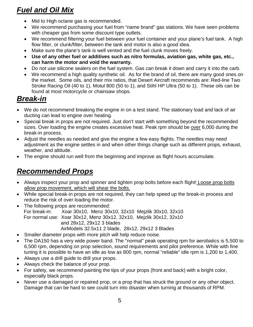# *Fuel and Oil Mix*

- Mid to High octane gas is recommended.
- We recommend purchasing your fuel from "name brand" gas stations. We have seen problems with cheaper gas from some discount type outlets.
- We recommend filtering your fuel between your fuel container and your plane's fuel tank. A high flow filter, or clunk/filter, between the tank and motor is also a good idea.
- Make sure the plane's tank is well vented and the fuel clunk moves freely.
- **Use of any other fuel or additives such as nitro formulas, aviation gas, white gas, etc., can harm the motor and void the warranty.**
- Do not use silicone sealers on the fuel system. Gas can break it down and carry it into the carb.
- We recommend a high quality synthetic oil. As for the brand of oil, there are many good ones on the market. Some oils, and their mix ratios, that Desert Aircraft recommends are: Red-line Two Stroke Racing Oil (40 to 1), Motul 800 (50 to 1), and Stihl HP Ultra (50 to 1). These oils can be found at most motorcycle or chainsaw shops.

# *Break-in*

- We do not recommend breaking the engine in on a test stand. The stationary load and lack of air ducting can lead to engine over heating.
- Special break in props are not required. Just don't start with something beyond the recommended sizes. Over loading the engine creates excessive heat. Peak rpm should be over 6,000 during the break-in process.
- Adjust the needles as needed and give the engine a few easy flights. The needles may need adjustment as the engine settles in and when other things change such as different props, exhaust, weather, and altitude.
- The engine should run well from the beginning and improve as flight hours accumulate.

# *Recommended Props*

- Always inspect your prop and spinner and tighten prop bolts before each flight! Loose prop bolts allow prop movement, which will shear the bolts.
- While special break-in props are not required, they can help speed up the break-in process and reduce the risk of over loading the motor.
- The following props are recommended: For break-in: Xoar 30x10, Menz 30x10, 32x10 Mejzlik 30x10, 32x10 For normal use: Xoar 30x12, Menz 30x12, 32x10, Mejzlik 30x12, 32x10 and 28x12, 29x12 3 blades AirModels 32.5x11 2 blade, 28x12, 29x12 3 Blades
- Smaller diameter props with more pitch will help reduce noise.
- The DA150 has a very wide power band. The "normal" peak operating rpm for aerobatics is 5,500 to 6,500 rpm, depending on prop selection, sound requirements and pilot preference. While with fine tuning it is possible to have an idle as low as 800 rpm, normal "reliable" idle rpm is 1,200 to 1,400.
- Always use a drill guide to drill your props.
- Always check the balance of your prop.
- For safety, we recommend painting the tips of your props (front and back) with a bright color, especially black props.
- Never use a damaged or repaired prop, or a prop that has struck the ground or any other object. Damage that can be hard to see could turn into disaster when turning at thousands of RPM.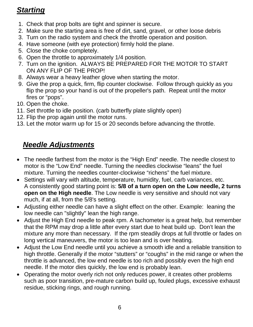# *Starting*

- 1. Check that prop bolts are tight and spinner is secure.
- 2. Make sure the starting area is free of dirt, sand, gravel, or other loose debris
- 3. Turn on the radio system and check the throttle operation and position.
- 4. Have someone (with eye protection) firmly hold the plane.
- 5. Close the choke completely.
- 6. Open the throttle to approximately 1/4 position.
- 7. Turn on the ignition. ALWAYS BE PREPARED FOR THE MOTOR TO START ON ANY FLIP OF THE PROP!
- 8. Always wear a heavy leather glove when starting the motor.
- 9. Give the prop a quick, firm, flip counter clockwise. Follow through quickly as you flip the prop so your hand is out of the propeller's path. Repeat until the motor fires or "pops".
- 10. Open the choke.
- 11. Set throttle to idle position. (carb butterfly plate slightly open)
- 12. Flip the prop again until the motor runs.
- 13. Let the motor warm up for 15 or 20 seconds before advancing the throttle.

# *Needle Adjustments*

- The needle farthest from the motor is the "High End" needle. The needle closest to motor is the "Low End" needle. Turning the needles clockwise "leans" the fuel mixture. Turning the needles counter-clockwise "richens" the fuel mixture.
- Settings will vary with altitude, temperature, humidity, fuel, carb variances, etc. A consistently good starting point is: **5/8 of a turn open on the Low needle, 2 turns open on the High needle**. The Low needle is very sensitive and should not vary much, if at all, from the 5/8's setting.
- Adjusting either needle can have a slight effect on the other. Example: leaning the low needle can "slightly" lean the high range.
- Adjust the High End needle to peak rpm. A tachometer is a great help, but remember that the RPM may drop a little after every start due to heat build up. Don't lean the mixture any more than necessary. If the rpm steadily drops at full throttle or fades on long vertical maneuvers, the motor is too lean and is over heating.
- Adjust the Low End needle until you achieve a smooth idle and a reliable transition to high throttle. Generally if the motor "stutters" or "coughs" in the mid range or when the throttle is advanced, the low end needle is too rich and possibly even the high end needle. If the motor dies quickly, the low end is probably lean.
- Operating the motor overly rich not only reduces power, it creates other problems such as poor transition, pre-mature carbon build up, fouled plugs, excessive exhaust residue, sticking rings, and rough running.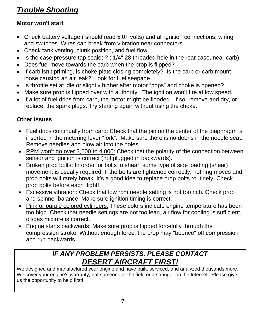# *Trouble Shooting*

### **Motor won't start**

- Check battery voltage (should read 5.0+ volts) and all ignition connections, wiring and switches. Wires can break from vibration near connectors.
- Check tank venting, clunk position, and fuel flow.
- Is the case pressure tap sealed? ( 1/4" 28 threaded hole in the rear case, near carb)
- Does fuel move towards the carb when the prop is flipped?
- If carb isn't priming, is choke plate closing completely? Is the carb or carb mount loose causing an air leak? Look for fuel seepage.
- Is throttle set at idle or slightly higher after motor "pops" and choke is opened?
- Make sure prop is flipped over with authority. The ignition won't fire at low speed.
- If a lot of fuel drips from carb, the motor might be flooded. If so, remove and dry, or replace, the spark plugs. Try starting again without using the choke.

### **Other issues**

- Fuel drips continually from carb: Check that the pin on the center of the diaphragm is inserted in the metering lever "fork". Make sure there is no debris in the needle seat. Remove needles and blow air into the holes.
- RPM won't go over 3,500 to 4,000: Check that the polarity of the connection between sensor and ignition is correct (not plugged in backwards).
- Broken prop bolts: In order for bolts to shear, some type of side loading (shear) movement is usually required. If the bolts are tightened correctly, nothing moves and prop bolts will rarely break. It's a good idea to replace prop bolts routinely. Check prop bolts before each flight!
- Excessive vibration: Check that low rpm needle setting is not too rich. Check prop and spinner balance. Make sure ignition timing is correct.
- Pink or purple colored cylinders: These colors indicate engine temperature has been too high. Check that needle settings are not too lean, air flow for cooling is sufficient, oil/gas mixture is correct.
- Engine starts backwards: Make sure prop is flipped forcefully through the compression stroke. Without enough force, the prop may "bounce" off compression and run backwards.

### *IF ANY PROBLEM PERSISTS, PLEASE CONTACT DESERT AIRCRAFT FIRST!*

We designed and manufactured your engine and have built, serviced, and analyzed thousands more. We cover your engine's warranty, not someone at the field or a stranger on the Internet. Please give us the opportunity to help first!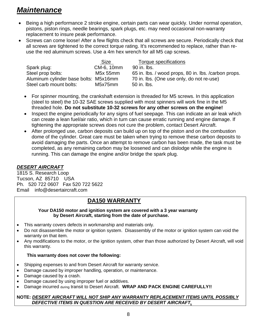### *Maintenance*

- Being a high performance 2 stroke engine, certain parts can wear quickly. Under normal operation, pistons, piston rings, needle bearings, spark plugs, etc. may need occasional non-warranty replacement to insure peak performance.
- Screws can come loose! After a few flights check that all screws are secure. Periodically check that all screws are tightened to the correct torque rating. It's recommended to replace, rather than reuse the red aluminum screws. Use a 4m hex wrench for all M5 cap screws.

|                                       | <b>Size</b> | Torque specifications                                 |
|---------------------------------------|-------------|-------------------------------------------------------|
| Spark plug:                           | CM-6, 10mm  | 90 in. lbs.                                           |
| Steel prop bolts:                     | M5x 55mm    | 65 in. lbs. / wood props, 80 in. lbs. / carbon props. |
| Aluminum cylinder base bolts: M5x16mm |             | 70 in. lbs. (One use only, do not re-use)             |
| Steel carb mount bolts:               | M5x75mm     | 50 in. lbs.                                           |

- For spinner mounting, the crankshaft extension is threaded for M5 screws. In this application (steel to steel) the 10-32 SAE screws supplied with most spinners will work fine in the M5 threaded hole. **Do not substitute 10-32 screws for any other screws on the engine!**
- Inspect the engine periodically for any signs of fuel seepage. This can indicate an air leak which can create a lean fuel/air ratio, which in turn can cause erratic running and engine damage. If tightening the appropriate screws does not cure the problem, contact Desert Aircraft.
- After prolonged use, carbon deposits can build up on top of the piston and on the combustion dome of the cylinder. Great care must be taken when trying to remove these carbon deposits to avoid damaging the parts. Once an attempt to remove carbon has been made, the task must be completed, as any remaining carbon may be loosened and can dislodge while the engine is running. This can damage the engine and/or bridge the spark plug.

### *DESERT AIRCRAFT*

1815 S. Research Loop Tucson, AZ 85710 USA Ph. 520 722 0607 Fax 520 722 5622 Email info@desertaircraft.com

### **DA150 WARRANTY**

#### **Your DA150 motor and ignition system are covered with a 3 year warranty by Desert Aircraft, starting from the date of purchase.**

- This warranty covers defects in workmanship and materials only.
- Do not disassemble the motor or ignition system. Disassembly of the motor or ignition system can void the warranty on that item.
- Any modifications to the motor, or the ignition system, other than those authorized by Desert Aircraft, will void this warranty.

### **This warranty does not cover the following:**

- Shipping expenses to and from Desert Aircraft for warranty service.
- Damage caused by improper handling, operation, or maintenance.
- Damage caused by a crash.
- Damage caused by using improper fuel or additives.
- Damage incurred during transit to Desert Aircraft. **WRAP AND PACK ENGINE CAREFULLY!!**

#### **NOTE:** *DESERT AIRCRAFT WILL NOT SHIP ANY WARRANTY REPLACEMENT ITEMS UNTIL POSSIBLY DEFECTIVE ITEMS IN QUESTION ARE RECEIVED BY DESERT AIRCRAFT.*